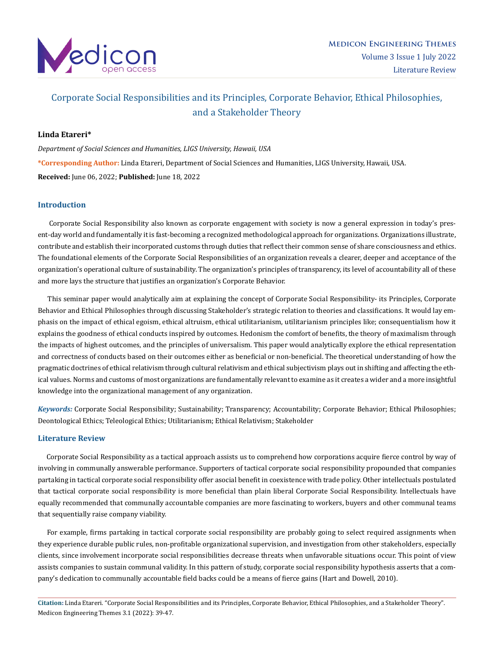

# Corporate Social Responsibilities and its Principles, Corporate Behavior, Ethical Philosophies, and a Stakeholder Theory

# **Linda Etareri\***

*Department of Social Sciences and Humanities, LIGS University, Hawaii, USA* **\*Corresponding Author:** Linda Etareri, Department of Social Sciences and Humanities, LIGS University, Hawaii, USA. **Received:** June 06, 2022; **Published:** June 18, 2022

# **Introduction**

 Corporate Social Responsibility also known as corporate engagement with society is now a general expression in today's present-day world and fundamentally it is fast-becoming a recognized methodological approach for organizations. Organizations illustrate, contribute and establish their incorporated customs through duties that reflect their common sense of share consciousness and ethics. The foundational elements of the Corporate Social Responsibilities of an organization reveals a clearer, deeper and acceptance of the organization's operational culture of sustainability. The organization's principles of transparency, its level of accountability all of these and more lays the structure that justifies an organization's Corporate Behavior.

 This seminar paper would analytically aim at explaining the concept of Corporate Social Responsibility- its Principles, Corporate Behavior and Ethical Philosophies through discussing Stakeholder's strategic relation to theories and classifications. It would lay emphasis on the impact of ethical egoism, ethical altruism, ethical utilitarianism, utilitarianism principles like; consequentialism how it explains the goodness of ethical conducts inspired by outcomes. Hedonism the comfort of benefits, the theory of maximalism through the impacts of highest outcomes, and the principles of universalism. This paper would analytically explore the ethical representation and correctness of conducts based on their outcomes either as beneficial or non-beneficial. The theoretical understanding of how the pragmatic doctrines of ethical relativism through cultural relativism and ethical subjectivism plays out in shifting and affecting the ethical values. Norms and customs of most organizations are fundamentally relevant to examine as it creates a wider and a more insightful knowledge into the organizational management of any organization.

*Keywords:* Corporate Social Responsibility; Sustainability; Transparency; Accountability; Corporate Behavior; Ethical Philosophies; Deontological Ethics; Teleological Ethics; Utilitarianism; Ethical Relativism; Stakeholder

# **Literature Review**

 Corporate Social Responsibility as a tactical approach assists us to comprehend how corporations acquire fierce control by way of involving in communally answerable performance. Supporters of tactical corporate social responsibility propounded that companies partaking in tactical corporate social responsibility offer asocial benefit in coexistence with trade policy. Other intellectuals postulated that tactical corporate social responsibility is more beneficial than plain liberal Corporate Social Responsibility. Intellectuals have equally recommended that communally accountable companies are more fascinating to workers, buyers and other communal teams that sequentially raise company viability.

 For example, firms partaking in tactical corporate social responsibility are probably going to select required assignments when they experience durable public rules, non-profitable organizational supervision, and investigation from other stakeholders, especially clients, since involvement incorporate social responsibilities decrease threats when unfavorable situations occur. This point of view assists companies to sustain communal validity. In this pattern of study, corporate social responsibility hypothesis asserts that a company's dedication to communally accountable field backs could be a means of fierce gains (Hart and Dowell, 2010).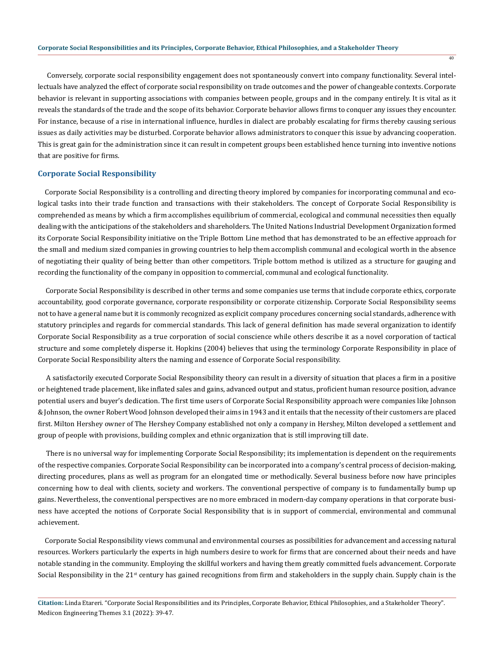Conversely, corporate social responsibility engagement does not spontaneously convert into company functionality. Several intellectuals have analyzed the effect of corporate social responsibility on trade outcomes and the power of changeable contexts. Corporate behavior is relevant in supporting associations with companies between people, groups and in the company entirely. It is vital as it reveals the standards of the trade and the scope of its behavior. Corporate behavior allows firms to conquer any issues they encounter. For instance, because of a rise in international influence, hurdles in dialect are probably escalating for firms thereby causing serious issues as daily activities may be disturbed. Corporate behavior allows administrators to conquer this issue by advancing cooperation. This is great gain for the administration since it can result in competent groups been established hence turning into inventive notions that are positive for firms.

 $\overline{40}$ 

#### **Corporate Social Responsibility**

 Corporate Social Responsibility is a controlling and directing theory implored by companies for incorporating communal and ecological tasks into their trade function and transactions with their stakeholders. The concept of Corporate Social Responsibility is comprehended as means by which a firm accomplishes equilibrium of commercial, ecological and communal necessities then equally dealing with the anticipations of the stakeholders and shareholders. The United Nations Industrial Development Organization formed its Corporate Social Responsibility initiative on the Triple Bottom Line method that has demonstrated to be an effective approach for the small and medium sized companies in growing countries to help them accomplish communal and ecological worth in the absence of negotiating their quality of being better than other competitors. Triple bottom method is utilized as a structure for gauging and recording the functionality of the company in opposition to commercial, communal and ecological functionality.

 Corporate Social Responsibility is described in other terms and some companies use terms that include corporate ethics, corporate accountability, good corporate governance, corporate responsibility or corporate citizenship. Corporate Social Responsibility seems not to have a general name but it is commonly recognized as explicit company procedures concerning social standards, adherence with statutory principles and regards for commercial standards. This lack of general definition has made several organization to identify Corporate Social Responsibility as a true corporation of social conscience while others describe it as a novel corporation of tactical structure and some completely disperse it. Hopkins (2004) believes that using the terminology Corporate Responsibility in place of Corporate Social Responsibility alters the naming and essence of Corporate Social responsibility.

 A satisfactorily executed Corporate Social Responsibility theory can result in a diversity of situation that places a firm in a positive or heightened trade placement, like inflated sales and gains, advanced output and status, proficient human resource position, advance potential users and buyer's dedication. The first time users of Corporate Social Responsibility approach were companies like Johnson & Johnson, the owner Robert Wood Johnson developed their aims in 1943 and it entails that the necessity of their customers are placed first. Milton Hershey owner of The Hershey Company established not only a company in Hershey, Milton developed a settlement and group of people with provisions, building complex and ethnic organization that is still improving till date.

 There is no universal way for implementing Corporate Social Responsibility; its implementation is dependent on the requirements of the respective companies. Corporate Social Responsibility can be incorporated into a company's central process of decision-making, directing procedures, plans as well as program for an elongated time or methodically. Several business before now have principles concerning how to deal with clients, society and workers. The conventional perspective of company is to fundamentally bump up gains. Nevertheless, the conventional perspectives are no more embraced in modern-day company operations in that corporate business have accepted the notions of Corporate Social Responsibility that is in support of commercial, environmental and communal achievement.

 Corporate Social Responsibility views communal and environmental courses as possibilities for advancement and accessing natural resources. Workers particularly the experts in high numbers desire to work for firms that are concerned about their needs and have notable standing in the community. Employing the skillful workers and having them greatly committed fuels advancement. Corporate Social Responsibility in the  $21<sup>st</sup>$  century has gained recognitions from firm and stakeholders in the supply chain. Supply chain is the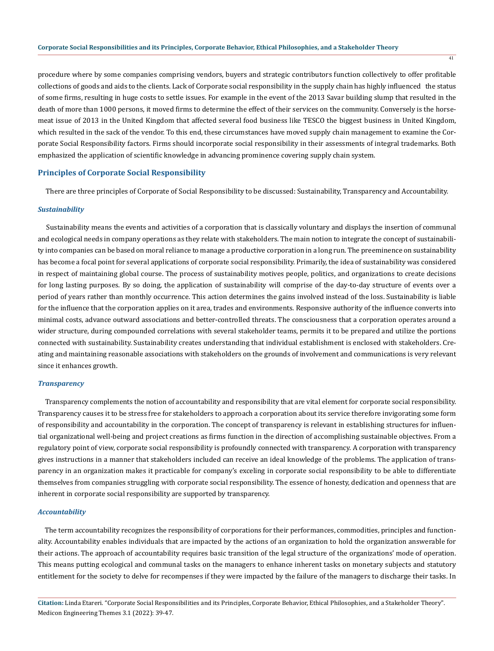procedure where by some companies comprising vendors, buyers and strategic contributors function collectively to offer profitable collections of goods and aids to the clients. Lack of Corporate social responsibility in the supply chain has highly influenced the status of some firms, resulting in huge costs to settle issues. For example in the event of the 2013 Savar building slump that resulted in the death of more than 1000 persons, it moved firms to determine the effect of their services on the community. Conversely is the horsemeat issue of 2013 in the United Kingdom that affected several food business like TESCO the biggest business in United Kingdom, which resulted in the sack of the vendor. To this end, these circumstances have moved supply chain management to examine the Corporate Social Responsibility factors. Firms should incorporate social responsibility in their assessments of integral trademarks. Both emphasized the application of scientific knowledge in advancing prominence covering supply chain system.

#### **Principles of Corporate Social Responsibility**

There are three principles of Corporate of Social Responsibility to be discussed: Sustainability, Transparency and Accountability.

#### *Sustainability*

 Sustainability means the events and activities of a corporation that is classically voluntary and displays the insertion of communal and ecological needs in company operations as they relate with stakeholders. The main notion to integrate the concept of sustainability into companies can be based on moral reliance to manage a productive corporation in a long run. The preeminence on sustainability has become a focal point for several applications of corporate social responsibility. Primarily, the idea of sustainability was considered in respect of maintaining global course. The process of sustainability motives people, politics, and organizations to create decisions for long lasting purposes. By so doing, the application of sustainability will comprise of the day-to-day structure of events over a period of years rather than monthly occurrence. This action determines the gains involved instead of the loss. Sustainability is liable for the influence that the corporation applies on it area, trades and environments. Responsive authority of the influence converts into minimal costs, advance outward associations and better-controlled threats. The consciousness that a corporation operates around a wider structure, during compounded correlations with several stakeholder teams, permits it to be prepared and utilize the portions connected with sustainability. Sustainability creates understanding that individual establishment is enclosed with stakeholders. Creating and maintaining reasonable associations with stakeholders on the grounds of involvement and communications is very relevant since it enhances growth.

#### *Transparency*

 Transparency complements the notion of accountability and responsibility that are vital element for corporate social responsibility. Transparency causes it to be stress free for stakeholders to approach a corporation about its service therefore invigorating some form of responsibility and accountability in the corporation. The concept of transparency is relevant in establishing structures for influential organizational well-being and project creations as firms function in the direction of accomplishing sustainable objectives. From a regulatory point of view, corporate social responsibility is profoundly connected with transparency. A corporation with transparency gives instructions in a manner that stakeholders included can receive an ideal knowledge of the problems. The application of transparency in an organization makes it practicable for company's exceling in corporate social responsibility to be able to differentiate themselves from companies struggling with corporate social responsibility. The essence of honesty, dedication and openness that are inherent in corporate social responsibility are supported by transparency.

#### *Accountability*

 The term accountability recognizes the responsibility of corporations for their performances, commodities, principles and functionality. Accountability enables individuals that are impacted by the actions of an organization to hold the organization answerable for their actions. The approach of accountability requires basic transition of the legal structure of the organizations' mode of operation. This means putting ecological and communal tasks on the managers to enhance inherent tasks on monetary subjects and statutory entitlement for the society to delve for recompenses if they were impacted by the failure of the managers to discharge their tasks. In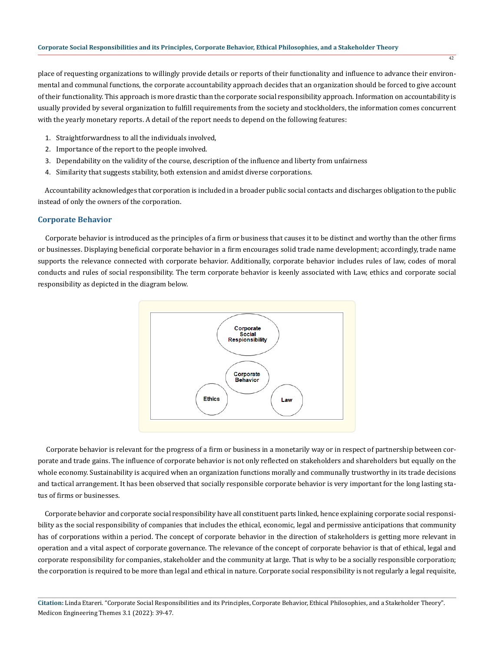place of requesting organizations to willingly provide details or reports of their functionality and influence to advance their environmental and communal functions, the corporate accountability approach decides that an organization should be forced to give account of their functionality. This approach is more drastic than the corporate social responsibility approach. Information on accountability is usually provided by several organization to fulfill requirements from the society and stockholders, the information comes concurrent with the yearly monetary reports. A detail of the report needs to depend on the following features:

- 1. Straightforwardness to all the individuals involved,
- 2. Importance of the report to the people involved.
- 3. Dependability on the validity of the course, description of the influence and liberty from unfairness
- 4. Similarity that suggests stability, both extension and amidst diverse corporations.

 Accountability acknowledges that corporation is included in a broader public social contacts and discharges obligation to the public instead of only the owners of the corporation.

# **Corporate Behavior**

 Corporate behavior is introduced as the principles of a firm or business that causes it to be distinct and worthy than the other firms or businesses. Displaying beneficial corporate behavior in a firm encourages solid trade name development; accordingly, trade name supports the relevance connected with corporate behavior. Additionally, corporate behavior includes rules of law, codes of moral conducts and rules of social responsibility. The term corporate behavior is keenly associated with Law, ethics and corporate social responsibility as depicted in the diagram below.



 Corporate behavior is relevant for the progress of a firm or business in a monetarily way or in respect of partnership between corporate and trade gains. The influence of corporate behavior is not only reflected on stakeholders and shareholders but equally on the whole economy. Sustainability is acquired when an organization functions morally and communally trustworthy in its trade decisions and tactical arrangement. It has been observed that socially responsible corporate behavior is very important for the long lasting status of firms or businesses.

 Corporate behavior and corporate social responsibility have all constituent parts linked, hence explaining corporate social responsibility as the social responsibility of companies that includes the ethical, economic, legal and permissive anticipations that community has of corporations within a period. The concept of corporate behavior in the direction of stakeholders is getting more relevant in operation and a vital aspect of corporate governance. The relevance of the concept of corporate behavior is that of ethical, legal and corporate responsibility for companies, stakeholder and the community at large. That is why to be a socially responsible corporation; the corporation is required to be more than legal and ethical in nature. Corporate social responsibility is not regularly a legal requisite,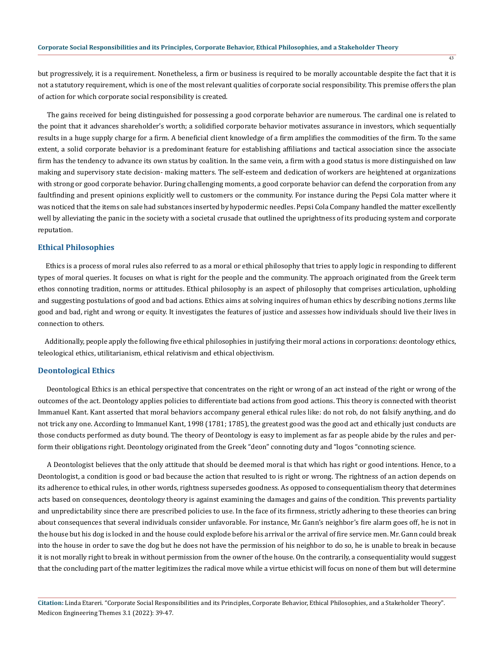but progressively, it is a requirement. Nonetheless, a firm or business is required to be morally accountable despite the fact that it is not a statutory requirement, which is one of the most relevant qualities of corporate social responsibility. This premise offers the plan of action for which corporate social responsibility is created.

 The gains received for being distinguished for possessing a good corporate behavior are numerous. The cardinal one is related to the point that it advances shareholder's worth; a solidified corporate behavior motivates assurance in investors, which sequentially results in a huge supply charge for a firm. A beneficial client knowledge of a firm amplifies the commodities of the firm. To the same extent, a solid corporate behavior is a predominant feature for establishing affiliations and tactical association since the associate firm has the tendency to advance its own status by coalition. In the same vein, a firm with a good status is more distinguished on law making and supervisory state decision- making matters. The self-esteem and dedication of workers are heightened at organizations with strong or good corporate behavior. During challenging moments, a good corporate behavior can defend the corporation from any faultfinding and present opinions explicitly well to customers or the community. For instance during the Pepsi Cola matter where it was noticed that the items on sale had substances inserted by hypodermic needles. Pepsi Cola Company handled the matter excellently well by alleviating the panic in the society with a societal crusade that outlined the uprightness of its producing system and corporate reputation.

## **Ethical Philosophies**

 Ethics is a process of moral rules also referred to as a moral or ethical philosophy that tries to apply logic in responding to different types of moral queries. It focuses on what is right for the people and the community. The approach originated from the Greek term ethos connoting tradition, norms or attitudes. Ethical philosophy is an aspect of philosophy that comprises articulation, upholding and suggesting postulations of good and bad actions. Ethics aims at solving inquires of human ethics by describing notions ,terms like good and bad, right and wrong or equity. It investigates the features of justice and assesses how individuals should live their lives in connection to others.

 Additionally, people apply the following five ethical philosophies in justifying their moral actions in corporations: deontology ethics, teleological ethics, utilitarianism, ethical relativism and ethical objectivism.

## **Deontological Ethics**

 Deontological Ethics is an ethical perspective that concentrates on the right or wrong of an act instead of the right or wrong of the outcomes of the act. Deontology applies policies to differentiate bad actions from good actions. This theory is connected with theorist Immanuel Kant. Kant asserted that moral behaviors accompany general ethical rules like: do not rob, do not falsify anything, and do not trick any one. According to Immanuel Kant, 1998 (1781; 1785), the greatest good was the good act and ethically just conducts are those conducts performed as duty bound. The theory of Deontology is easy to implement as far as people abide by the rules and perform their obligations right. Deontology originated from the Greek "deon" connoting duty and "logos "connoting science.

 A Deontologist believes that the only attitude that should be deemed moral is that which has right or good intentions. Hence, to a Deontologist, a condition is good or bad because the action that resulted to is right or wrong. The rightness of an action depends on its adherence to ethical rules, in other words, rightness supersedes goodness. As opposed to consequentialism theory that determines acts based on consequences, deontology theory is against examining the damages and gains of the condition. This prevents partiality and unpredictability since there are prescribed policies to use. In the face of its firmness, strictly adhering to these theories can bring about consequences that several individuals consider unfavorable. For instance, Mr. Gann's neighbor's fire alarm goes off, he is not in the house but his dog is locked in and the house could explode before his arrival or the arrival of fire service men. Mr. Gann could break into the house in order to save the dog but he does not have the permission of his neighbor to do so, he is unable to break in because it is not morally right to break in without permission from the owner of the house. On the contrarily, a consequentiality would suggest that the concluding part of the matter legitimizes the radical move while a virtue ethicist will focus on none of them but will determine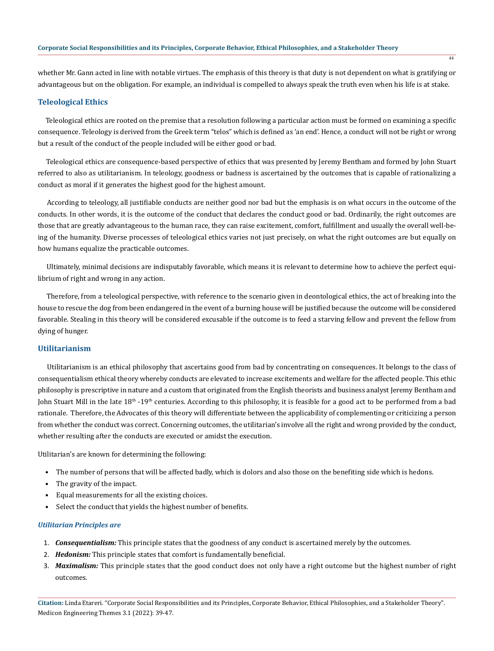whether Mr. Gann acted in line with notable virtues. The emphasis of this theory is that duty is not dependent on what is gratifying or advantageous but on the obligation. For example, an individual is compelled to always speak the truth even when his life is at stake.

# **Teleological Ethics**

 Teleological ethics are rooted on the premise that a resolution following a particular action must be formed on examining a specific consequence. Teleology is derived from the Greek term "telos" which is defined as 'an end'. Hence, a conduct will not be right or wrong but a result of the conduct of the people included will be either good or bad.

 Teleological ethics are consequence-based perspective of ethics that was presented by Jeremy Bentham and formed by John Stuart referred to also as utilitarianism. In teleology, goodness or badness is ascertained by the outcomes that is capable of rationalizing a conduct as moral if it generates the highest good for the highest amount.

 According to teleology, all justifiable conducts are neither good nor bad but the emphasis is on what occurs in the outcome of the conducts. In other words, it is the outcome of the conduct that declares the conduct good or bad. Ordinarily, the right outcomes are those that are greatly advantageous to the human race, they can raise excitement, comfort, fulfillment and usually the overall well-being of the humanity. Diverse processes of teleological ethics varies not just precisely, on what the right outcomes are but equally on how humans equalize the practicable outcomes.

 Ultimately, minimal decisions are indisputably favorable, which means it is relevant to determine how to achieve the perfect equilibrium of right and wrong in any action.

 Therefore, from a teleological perspective, with reference to the scenario given in deontological ethics, the act of breaking into the house to rescue the dog from been endangered in the event of a burning house will be justified because the outcome will be considered favorable. Stealing in this theory will be considered excusable if the outcome is to feed a starving fellow and prevent the fellow from dying of hunger.

## **Utilitarianism**

 Utilitarianism is an ethical philosophy that ascertains good from bad by concentrating on consequences. It belongs to the class of consequentialism ethical theory whereby conducts are elevated to increase excitements and welfare for the affected people. This ethic philosophy is prescriptive in nature and a custom that originated from the English theorists and business analyst Jeremy Bentham and John Stuart Mill in the late 18<sup>th</sup> -19<sup>th</sup> centuries. According to this philosophy, it is feasible for a good act to be performed from a bad rationale. Therefore, the Advocates of this theory will differentiate between the applicability of complementing or criticizing a person from whether the conduct was correct. Concerning outcomes, the utilitarian's involve all the right and wrong provided by the conduct, whether resulting after the conducts are executed or amidst the execution.

Utilitarian's are known for determining the following:

- The number of persons that will be affected badly, which is dolors and also those on the benefiting side which is hedons.
- The gravity of the impact.
- Equal measurements for all the existing choices.
- Select the conduct that yields the highest number of benefits.

#### *Utilitarian Principles are*

- 1. *Consequentialism:* This principle states that the goodness of any conduct is ascertained merely by the outcomes.
- 2. *Hedonism:* This principle states that comfort is fundamentally beneficial.
- 3. *Maximalism:* This principle states that the good conduct does not only have a right outcome but the highest number of right outcomes.

**Citation:** Linda Etareri. "Corporate Social Responsibilities and its Principles, Corporate Behavior, Ethical Philosophies, and a Stakeholder Theory". Medicon Engineering Themes 3.1 (2022): 39-47.

 $\overline{44}$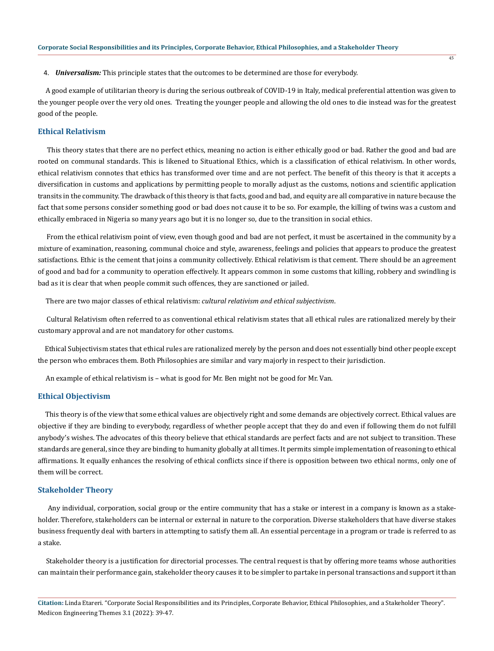4. *Universalism:* This principle states that the outcomes to be determined are those for everybody.

 A good example of utilitarian theory is during the serious outbreak of COVID-19 in Italy, medical preferential attention was given to the younger people over the very old ones. Treating the younger people and allowing the old ones to die instead was for the greatest good of the people.

# **Ethical Relativism**

 This theory states that there are no perfect ethics, meaning no action is either ethically good or bad. Rather the good and bad are rooted on communal standards. This is likened to Situational Ethics, which is a classification of ethical relativism. In other words, ethical relativism connotes that ethics has transformed over time and are not perfect. The benefit of this theory is that it accepts a diversification in customs and applications by permitting people to morally adjust as the customs, notions and scientific application transits in the community. The drawback of this theory is that facts, good and bad, and equity are all comparative in nature because the fact that some persons consider something good or bad does not cause it to be so. For example, the killing of twins was a custom and ethically embraced in Nigeria so many years ago but it is no longer so, due to the transition in social ethics.

 From the ethical relativism point of view, even though good and bad are not perfect, it must be ascertained in the community by a mixture of examination, reasoning, communal choice and style, awareness, feelings and policies that appears to produce the greatest satisfactions. Ethic is the cement that joins a community collectively. Ethical relativism is that cement. There should be an agreement of good and bad for a community to operation effectively. It appears common in some customs that killing, robbery and swindling is bad as it is clear that when people commit such offences, they are sanctioned or jailed.

There are two major classes of ethical relativism: *cultural relativism and ethical subjectivism*.

 Cultural Relativism often referred to as conventional ethical relativism states that all ethical rules are rationalized merely by their customary approval and are not mandatory for other customs.

 Ethical Subjectivism states that ethical rules are rationalized merely by the person and does not essentially bind other people except the person who embraces them. Both Philosophies are similar and vary majorly in respect to their jurisdiction.

An example of ethical relativism is – what is good for Mr. Ben might not be good for Mr. Van.

#### **Ethical Objectivism**

 This theory is of the view that some ethical values are objectively right and some demands are objectively correct. Ethical values are objective if they are binding to everybody, regardless of whether people accept that they do and even if following them do not fulfill anybody's wishes. The advocates of this theory believe that ethical standards are perfect facts and are not subject to transition. These standards are general, since they are binding to humanity globally at all times. It permits simple implementation of reasoning to ethical affirmations. It equally enhances the resolving of ethical conflicts since if there is opposition between two ethical norms, only one of them will be correct.

#### **Stakeholder Theory**

 Any individual, corporation, social group or the entire community that has a stake or interest in a company is known as a stakeholder. Therefore, stakeholders can be internal or external in nature to the corporation. Diverse stakeholders that have diverse stakes business frequently deal with barters in attempting to satisfy them all. An essential percentage in a program or trade is referred to as a stake.

 Stakeholder theory is a justification for directorial processes. The central request is that by offering more teams whose authorities can maintain their performance gain, stakeholder theory causes it to be simpler to partake in personal transactions and support it than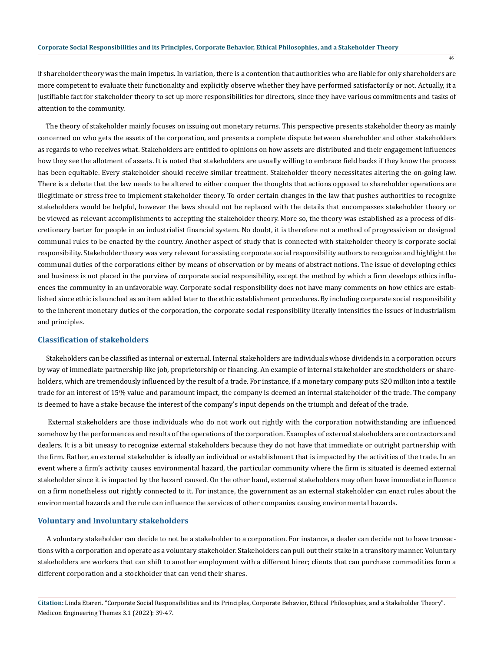if shareholder theory was the main impetus. In variation, there is a contention that authorities who are liable for only shareholders are more competent to evaluate their functionality and explicitly observe whether they have performed satisfactorily or not. Actually, it a justifiable fact for stakeholder theory to set up more responsibilities for directors, since they have various commitments and tasks of attention to the community.

46

 The theory of stakeholder mainly focuses on issuing out monetary returns. This perspective presents stakeholder theory as mainly concerned on who gets the assets of the corporation, and presents a complete dispute between shareholder and other stakeholders as regards to who receives what. Stakeholders are entitled to opinions on how assets are distributed and their engagement influences how they see the allotment of assets. It is noted that stakeholders are usually willing to embrace field backs if they know the process has been equitable. Every stakeholder should receive similar treatment. Stakeholder theory necessitates altering the on-going law. There is a debate that the law needs to be altered to either conquer the thoughts that actions opposed to shareholder operations are illegitimate or stress free to implement stakeholder theory. To order certain changes in the law that pushes authorities to recognize stakeholders would be helpful, however the laws should not be replaced with the details that encompasses stakeholder theory or be viewed as relevant accomplishments to accepting the stakeholder theory. More so, the theory was established as a process of discretionary barter for people in an industrialist financial system. No doubt, it is therefore not a method of progressivism or designed communal rules to be enacted by the country. Another aspect of study that is connected with stakeholder theory is corporate social responsibility. Stakeholder theory was very relevant for assisting corporate social responsibility authors to recognize and highlight the communal duties of the corporations either by means of observation or by means of abstract notions. The issue of developing ethics and business is not placed in the purview of corporate social responsibility, except the method by which a firm develops ethics influences the community in an unfavorable way. Corporate social responsibility does not have many comments on how ethics are established since ethic is launched as an item added later to the ethic establishment procedures. By including corporate social responsibility to the inherent monetary duties of the corporation, the corporate social responsibility literally intensifies the issues of industrialism and principles.

#### **Classification of stakeholders**

 Stakeholders can be classified as internal or external. Internal stakeholders are individuals whose dividends in a corporation occurs by way of immediate partnership like job, proprietorship or financing. An example of internal stakeholder are stockholders or shareholders, which are tremendously influenced by the result of a trade. For instance, if a monetary company puts \$20 million into a textile trade for an interest of 15% value and paramount impact, the company is deemed an internal stakeholder of the trade. The company is deemed to have a stake because the interest of the company's input depends on the triumph and defeat of the trade.

 External stakeholders are those individuals who do not work out rightly with the corporation notwithstanding are influenced somehow by the performances and results of the operations of the corporation. Examples of external stakeholders are contractors and dealers. It is a bit uneasy to recognize external stakeholders because they do not have that immediate or outright partnership with the firm. Rather, an external stakeholder is ideally an individual or establishment that is impacted by the activities of the trade. In an event where a firm's activity causes environmental hazard, the particular community where the firm is situated is deemed external stakeholder since it is impacted by the hazard caused. On the other hand, external stakeholders may often have immediate influence on a firm nonetheless out rightly connected to it. For instance, the government as an external stakeholder can enact rules about the environmental hazards and the rule can influence the services of other companies causing environmental hazards.

#### **Voluntary and Involuntary stakeholders**

 A voluntary stakeholder can decide to not be a stakeholder to a corporation. For instance, a dealer can decide not to have transactions with a corporation and operate as a voluntary stakeholder. Stakeholders can pull out their stake in a transitory manner. Voluntary stakeholders are workers that can shift to another employment with a different hirer; clients that can purchase commodities form a different corporation and a stockholder that can vend their shares.